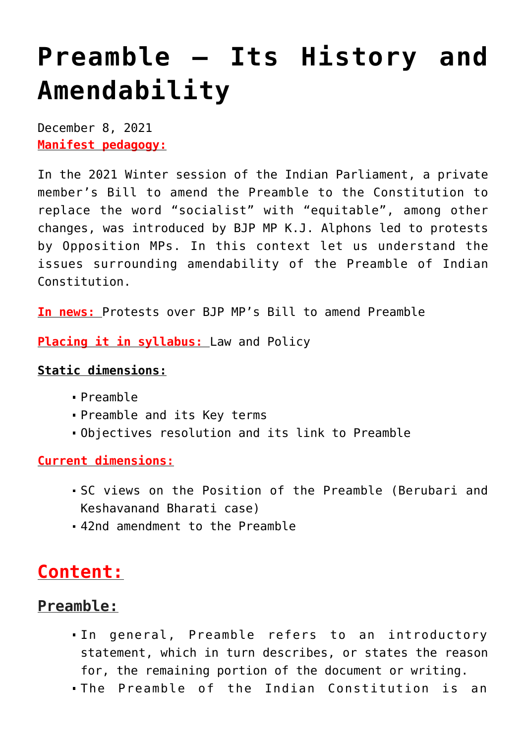# **[Preamble – Its History and](https://journalsofindia.com/preamble-its-history-and-amendability/) [Amendability](https://journalsofindia.com/preamble-its-history-and-amendability/)**

December 8, 2021 **Manifest pedagogy:**

In the 2021 Winter session of the Indian Parliament, a private member's Bill to amend the Preamble to the Constitution to replace the word "socialist" with "equitable", among other changes, was introduced by BJP MP K.J. Alphons led to protests by Opposition MPs. In this context let us understand the issues surrounding amendability of the Preamble of Indian Constitution.

**In news:** Protests over BJP MP's Bill to amend Preamble

**Placing it in syllabus:** Law and Policy

#### **Static dimensions:**

- Preamble
- Preamble and its Key terms
- Objectives resolution and its link to Preamble

#### **Current dimensions:**

- SC views on the Position of the Preamble (Berubari and Keshavanand Bharati case)
- 42nd amendment to the Preamble

# **Content:**

# **Preamble:**

- In general, Preamble refers to an introductory statement, which in turn describes, or states the reason for, the remaining portion of the document or writing.
- The Preamble of the Indian Constitution is an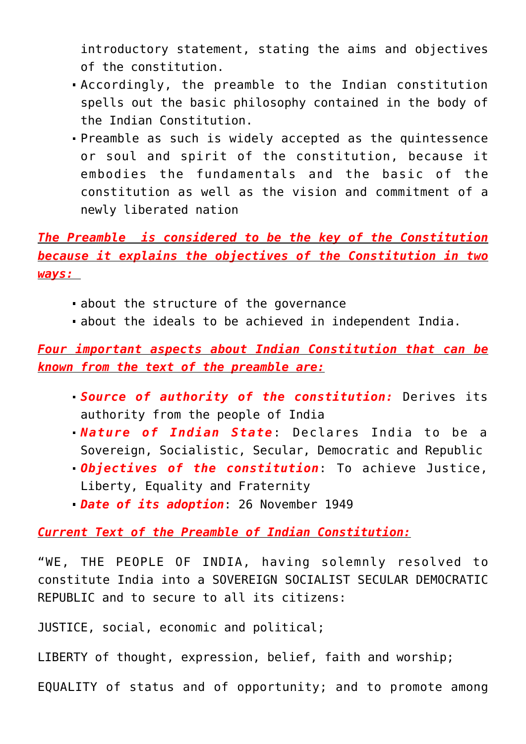introductory statement, stating the aims and objectives of the constitution.

- Accordingly, the preamble to the Indian constitution spells out the basic philosophy contained in the body of the Indian Constitution.
- Preamble as such is widely accepted as the quintessence or soul and spirit of the constitution, because it embodies the fundamentals and the basic of the constitution as well as the vision and commitment of a newly liberated nation

*The Preamble is considered to be the key of the Constitution because it explains the objectives of the Constitution in two ways:* 

- about the structure of the governance
- about the ideals to be achieved in independent India.

*Four important aspects about Indian Constitution that can be known from the text of the preamble are:*

- *Source of authority of the constitution:* Derives its authority from the people of India
- *Nature of Indian State*: Declares India to be a Sovereign, Socialistic, Secular, Democratic and Republic
- *Objectives of the constitution*: To achieve Justice, Liberty, Equality and Fraternity
- *Date of its adoption*: 26 November 1949

*Current Text of the Preamble of Indian Constitution:*

"WE, THE PEOPLE OF INDIA, having solemnly resolved to constitute India into a SOVEREIGN SOCIALIST SECULAR DEMOCRATIC REPUBLIC and to secure to all its citizens:

JUSTICE, social, economic and political;

LIBERTY of thought, expression, belief, faith and worship;

EQUALITY of status and of opportunity; and to promote among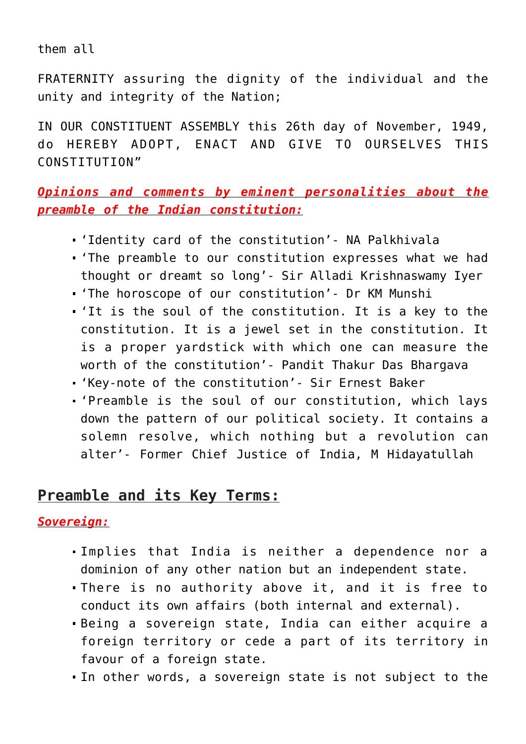them all

FRATERNITY assuring the dignity of the individual and the unity and integrity of the Nation;

IN OUR CONSTITUENT ASSEMBLY this 26th day of November, 1949, do HEREBY ADOPT, ENACT AND GIVE TO OURSELVES THIS CONSTITUTION"

*Opinions and comments by eminent personalities about the preamble of the Indian constitution:*

- 'Identity card of the constitution'- NA Palkhivala
- 'The preamble to our constitution expresses what we had thought or dreamt so long'- Sir Alladi Krishnaswamy Iyer
- 'The horoscope of our constitution'- Dr KM Munshi
- 'It is the soul of the constitution. It is a key to the constitution. It is a jewel set in the constitution. It is a proper yardstick with which one can measure the worth of the constitution'- Pandit Thakur Das Bhargava
- 'Key-note of the constitution'- Sir Ernest Baker
- 'Preamble is the soul of our constitution, which lays down the pattern of our political society. It contains a solemn resolve, which nothing but a revolution can alter'- Former Chief Justice of India, M Hidayatullah

# **Preamble and its Key Terms:**

#### *Sovereign:*

- Implies that India is neither a dependence nor a dominion of any other nation but an independent state.
- There is no authority above it, and it is free to conduct its own affairs (both internal and external).
- Being a sovereign state, India can either acquire a foreign territory or cede a part of its territory in favour of a foreign state.
- In other words, a sovereign state is not subject to the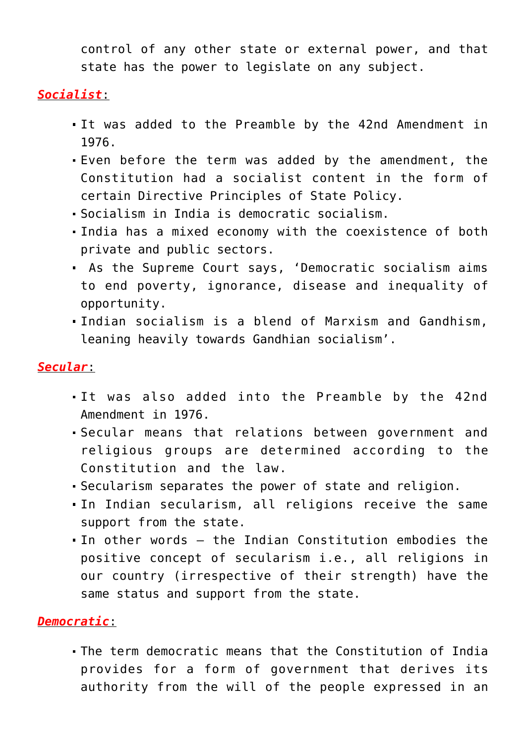control of any other state or external power, and that state has the power to legislate on any subject.

*Socialist*:

- It was added to the Preamble by the 42nd Amendment in 1976.
- Even before the term was added by the amendment, the Constitution had a socialist content in the form of certain Directive Principles of State Policy.
- Socialism in India is democratic socialism.
- India has a mixed economy with the coexistence of both private and public sectors.
- As the Supreme Court says, 'Democratic socialism aims to end poverty, ignorance, disease and inequality of opportunity.
- Indian socialism is a blend of Marxism and Gandhism, leaning heavily towards Gandhian socialism'.

# *Secular*:

- It was also added into the Preamble by the 42nd Amendment in 1976.
- Secular means that relations between government and religious groups are determined according to the Constitution and the law.
- Secularism separates the power of state and religion.
- In Indian secularism, all religions receive the same support from the state.
- In other words the Indian Constitution embodies the positive concept of secularism i.e., all religions in our country (irrespective of their strength) have the same status and support from the state.

#### *Democratic*:

The term democratic means that the Constitution of India provides for a form of government that derives its authority from the will of the people expressed in an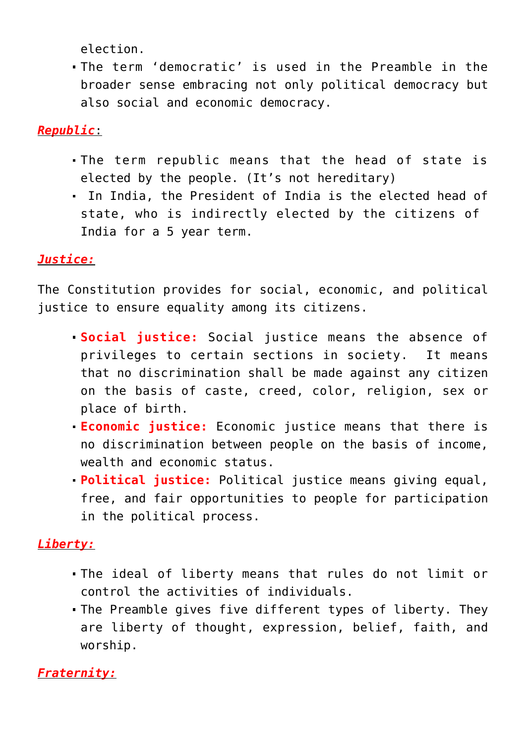election.

The term 'democratic' is used in the Preamble in the broader sense embracing not only political democracy but also social and economic democracy.

# *Republic*:

- The term republic means that the head of state is elected by the people. (It's not hereditary)
- In India, the President of India is the elected head of state, who is indirectly elected by the citizens of India for a 5 year term.

### *Justice:*

The Constitution provides for social, economic, and political justice to ensure equality among its citizens.

- **Social justice:** Social justice means the absence of privileges to certain sections in society. It means that no discrimination shall be made against any citizen on the basis of caste, creed, color, religion, sex or place of birth.
- **Economic justice:** Economic justice means that there is no discrimination between people on the basis of income, wealth and economic status.
- **Political justice:** Political justice means giving equal, free, and fair opportunities to people for participation in the political process.

## *Liberty:*

- The ideal of liberty means that rules do not limit or control the activities of individuals.
- The Preamble gives five different types of liberty. They are liberty of thought, expression, belief, faith, and worship.

*Fraternity:*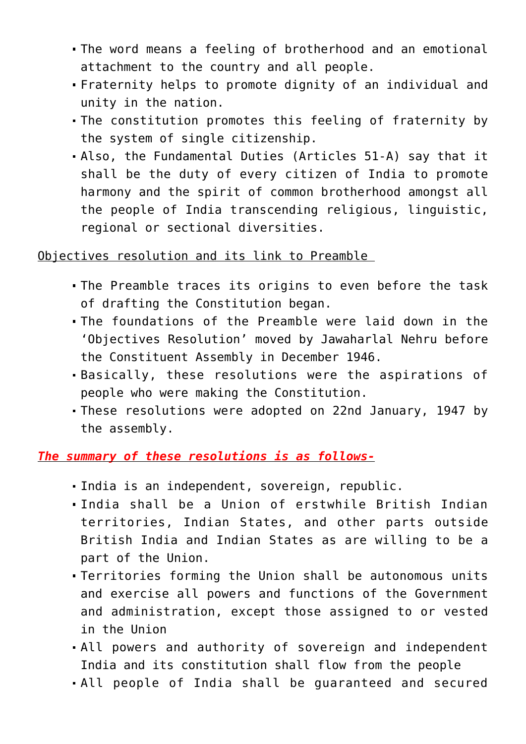- The word means a feeling of brotherhood and an emotional attachment to the country and all people.
- Fraternity helps to promote dignity of an individual and unity in the nation.
- The constitution promotes this feeling of fraternity by the system of single citizenship.
- Also, the Fundamental Duties (Articles 51-A) say that it shall be the duty of every citizen of India to promote harmony and the spirit of common brotherhood amongst all the people of India transcending religious, linguistic, regional or sectional diversities.

#### Objectives resolution and its link to Preamble

- The Preamble traces its origins to even before the task of drafting the Constitution began.
- The foundations of the Preamble were laid down in the 'Objectives Resolution' moved by Jawaharlal Nehru before the Constituent Assembly in December 1946.
- Basically, these resolutions were the aspirations of people who were making the Constitution.
- These resolutions were adopted on 22nd January, 1947 by the assembly.

#### *The summary of these resolutions is as follows-*

- India is an independent, sovereign, republic.
- India shall be a Union of erstwhile British Indian territories, Indian States, and other parts outside British India and Indian States as are willing to be a part of the Union.
- Territories forming the Union shall be autonomous units and exercise all powers and functions of the Government and administration, except those assigned to or vested in the Union
- All powers and authority of sovereign and independent India and its constitution shall flow from the people
- All people of India shall be guaranteed and secured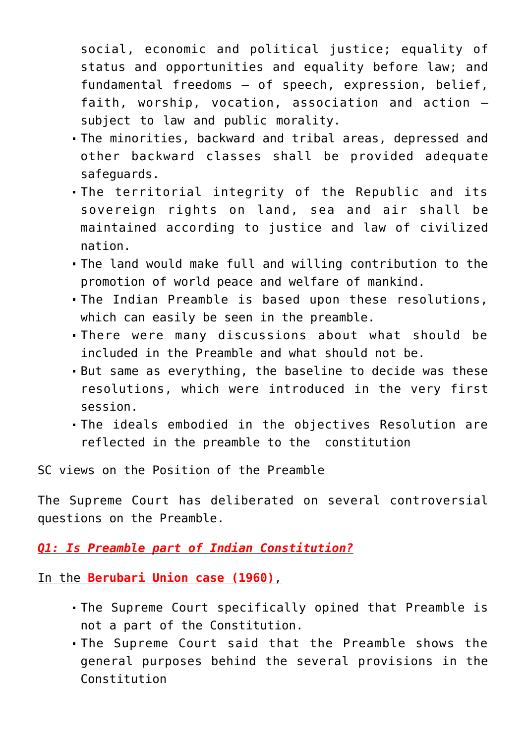social, economic and political justice; equality of status and opportunities and equality before law; and fundamental freedoms – of speech, expression, belief, faith, worship, vocation, association and action – subject to law and public morality.

- The minorities, backward and tribal areas, depressed and other backward classes shall be provided adequate safeguards.
- The territorial integrity of the Republic and its sovereign rights on land, sea and air shall be maintained according to justice and law of civilized nation.
- The land would make full and willing contribution to the promotion of world peace and welfare of mankind.
- The Indian Preamble is based upon these resolutions, which can easily be seen in the preamble.
- There were many discussions about what should be included in the Preamble and what should not be.
- But same as everything, the baseline to decide was these resolutions, which were introduced in the very first session.
- The ideals embodied in the objectives Resolution are reflected in the preamble to the constitution

SC views on the Position of the Preamble

The Supreme Court has deliberated on several controversial questions on the Preamble.

#### *Q1: Is Preamble part of Indian Constitution?*

In the **Berubari Union case (1960)**,

- The Supreme Court specifically opined that Preamble is not a part of the Constitution.
- The Supreme Court said that the Preamble shows the general purposes behind the several provisions in the Constitution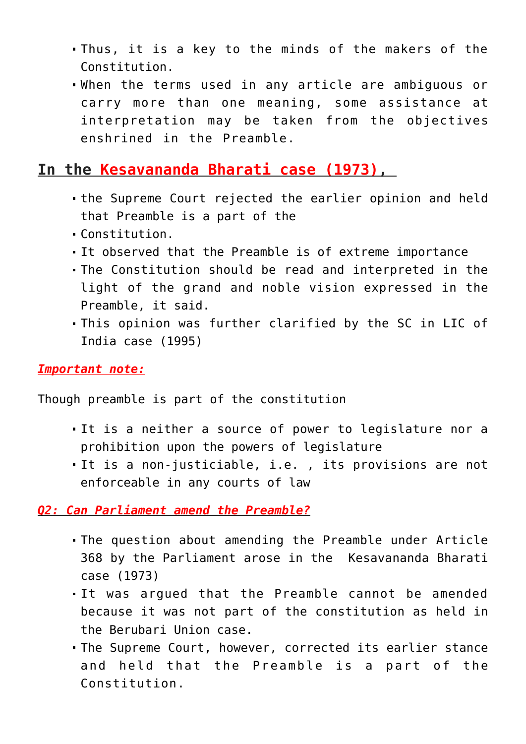- Thus, it is a key to the minds of the makers of the Constitution.
- When the terms used in any article are ambiguous or carry more than one meaning, some assistance at interpretation may be taken from the objectives enshrined in the Preamble.

# **In the Kesavananda Bharati case (1973),**

- the Supreme Court rejected the earlier opinion and held that Preamble is a part of the
- Constitution.
- It observed that the Preamble is of extreme importance
- The Constitution should be read and interpreted in the light of the grand and noble vision expressed in the Preamble, it said.
- This opinion was further clarified by the SC in LIC of India case (1995)

#### *Important note:*

Though preamble is part of the constitution

- It is a neither a source of power to legislature nor a prohibition upon the powers of legislature
- It is a non-justiciable, i.e. , its provisions are not enforceable in any courts of law

*Q2: Can Parliament amend the Preamble?*

- The question about amending the Preamble under Article 368 by the Parliament arose in the Kesavananda Bharati case (1973)
- It was argued that the Preamble cannot be amended because it was not part of the constitution as held in the Berubari Union case.
- The Supreme Court, however, corrected its earlier stance and held that the Preamble is a part of the Constitution.